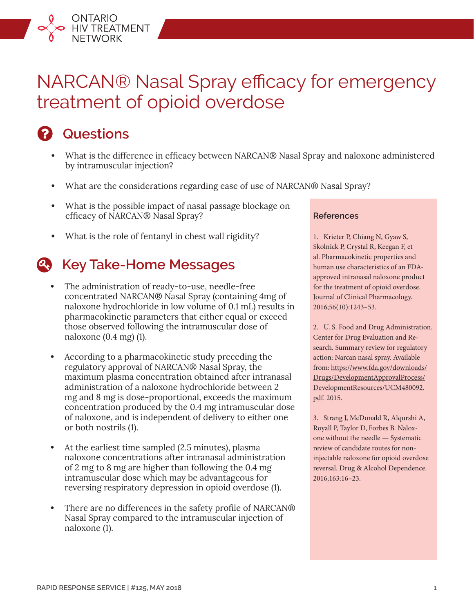# NARCAN® Nasal Spray efficacy for emergency treatment of opioid overdose

# **Questions**

ONTARIO<br>HIV TREATMENT<br>NETWORK

- **•** What is the difference in efficacy between NARCAN® Nasal Spray and naloxone administered by intramuscular injection?
- **•** What are the considerations regarding ease of use of NARCAN® Nasal Spray?
- **•** What is the possible impact of nasal passage blockage on efficacy of NARCAN® Nasal Spray?
- **•** What is the role of fentanyl in chest wall rigidity?

# **Key Take-Home Messages**

- **•** The administration of ready-to-use, needle-free concentrated NARCAN® Nasal Spray (containing 4mg of naloxone hydrochloride in low volume of 0.1 mL) results in pharmacokinetic parameters that either equal or exceed those observed following the intramuscular dose of naloxone (0.4 mg) (1).
- **•** According to a pharmacokinetic study preceding the regulatory approval of NARCAN® Nasal Spray, the maximum plasma concentration obtained after intranasal administration of a naloxone hydrochloride between 2 mg and 8 mg is dose-proportional, exceeds the maximum concentration produced by the 0.4 mg intramuscular dose of naloxone, and is independent of delivery to either one or both nostrils (1).
- **•** At the earliest time sampled (2.5 minutes), plasma naloxone concentrations after intranasal administration of 2 mg to 8 mg are higher than following the 0.4 mg intramuscular dose which may be advantageous for reversing respiratory depression in opioid overdose (1).
- **•** There are no differences in the safety profile of NARCAN® Nasal Spray compared to the intramuscular injection of naloxone (1).

#### **References**

1. Krieter P, Chiang N, Gyaw S, Skolnick P, Crystal R, Keegan F, et al. Pharmacokinetic properties and human use characteristics of an FDAapproved intranasal naloxone product for the treatment of opioid overdose. Journal of Clinical Pharmacology. 2016;56(10):1243–53.

2. U. S. Food and Drug Administration. Center for Drug Evaluation and Research. Summary review for regulatory action: Narcan nasal spray. Available from: [https://www.fda.gov/downloads/](https://www.fda.gov/downloads/Drugs/DevelopmentApprovalProcess/DevelopmentResources/UCM480092.pdf.) [Drugs/DevelopmentApprovalProcess/](https://www.fda.gov/downloads/Drugs/DevelopmentApprovalProcess/DevelopmentResources/UCM480092.pdf.) [DevelopmentResources/UCM480092.](https://www.fda.gov/downloads/Drugs/DevelopmentApprovalProcess/DevelopmentResources/UCM480092.pdf.) [pdf.](https://www.fda.gov/downloads/Drugs/DevelopmentApprovalProcess/DevelopmentResources/UCM480092.pdf.) 2015.

3. Strang J, McDonald R, Alqurshi A, Royall P, Taylor D, Forbes B. Naloxone without the needle — Systematic review of candidate routes for noninjectable naloxone for opioid overdose reversal. Drug & Alcohol Dependence. 2016;163:16–23.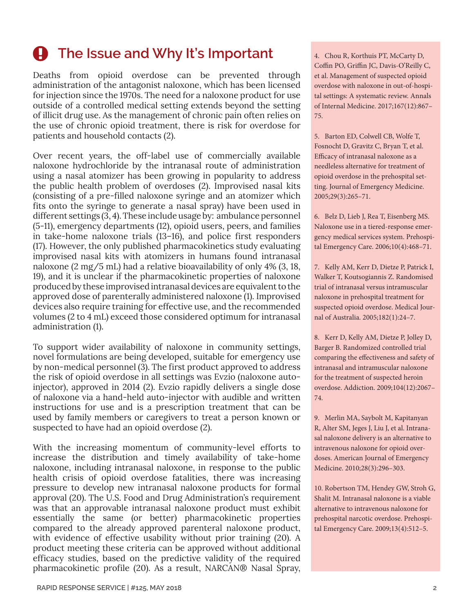# **A** The Issue and Why It's Important

Deaths from opioid overdose can be prevented through administration of the antagonist naloxone, which has been licensed for injection since the 1970s. The need for a naloxone product for use outside of a controlled medical setting extends beyond the setting of illicit drug use. As the management of chronic pain often relies on the use of chronic opioid treatment, there is risk for overdose for patients and household contacts (2).

Over recent years, the off-label use of commercially available naloxone hydrochloride by the intranasal route of administration using a nasal atomizer has been growing in popularity to address the public health problem of overdoses (2). Improvised nasal kits (consisting of a pre-filled naloxone syringe and an atomizer which fits onto the syringe to generate a nasal spray) have been used in different settings (3, 4). These include usage by: ambulance personnel (5-11), emergency departments (12), opioid users, peers, and families in take-home naloxone trials (13–16), and police first responders (17). However, the only published pharmacokinetics study evaluating improvised nasal kits with atomizers in humans found intranasal naloxone (2 mg/5 mL) had a relative bioavailability of only 4% (3, 18, 19), and it is unclear if the pharmacokinetic properties of naloxone produced by these improvised intranasal devices are equivalent to the approved dose of parenterally administered naloxone (1). Improvised devices also require training for effective use, and the recommended volumes (2 to 4 mL) exceed those considered optimum for intranasal administration (1).

To support wider availability of naloxone in community settings, novel formulations are being developed, suitable for emergency use by non-medical personnel (3). The first product approved to address the risk of opioid overdose in all settings was Evzio (naloxone autoinjector), approved in 2014 (2). Evzio rapidly delivers a single dose of naloxone via a hand-held auto-injector with audible and written instructions for use and is a prescription treatment that can be used by family members or caregivers to treat a person known or suspected to have had an opioid overdose (2).

With the increasing momentum of community-level efforts to increase the distribution and timely availability of take-home naloxone, including intranasal naloxone, in response to the public health crisis of opioid overdose fatalities, there was increasing pressure to develop new intranasal naloxone products for formal approval (20). The U.S. Food and Drug Administration's requirement was that an approvable intranasal naloxone product must exhibit essentially the same (or better) pharmacokinetic properties compared to the already approved parenteral naloxone product, with evidence of effective usability without prior training (20). A product meeting these criteria can be approved without additional efficacy studies, based on the predictive validity of the required pharmacokinetic profile (20). As a result, NARCAN® Nasal Spray,

4. Chou R, Korthuis PT, McCarty D, Coffin PO, Griffin JC, Davis-O'Reilly C, et al. Management of suspected opioid overdose with naloxone in out-of-hospital settings: A systematic review. Annals of Internal Medicine. 2017;167(12):867– 75.

5. Barton ED, Colwell CB, Wolfe T, Fosnocht D, Gravitz C, Bryan T, et al. Efficacy of intranasal naloxone as a needleless alternative for treatment of opioid overdose in the prehospital setting. Journal of Emergency Medicine. 2005;29(3):265–71.

6. Belz D, Lieb J, Rea T, Eisenberg MS. Naloxone use in a tiered-response emergency medical services system. Prehospital Emergency Care. 2006;10(4):468–71.

7. Kelly AM, Kerr D, Dietze P, Patrick I, Walker T, Koutsogiannis Z. Randomised trial of intranasal versus intramuscular naloxone in prehospital treatment for suspected opioid overdose. Medical Journal of Australia. 2005;182(1):24–7.

8. Kerr D, Kelly AM, Dietze P, Jolley D, Barger B. Randomized controlled trial comparing the effectiveness and safety of intranasal and intramuscular naloxone for the treatment of suspected heroin overdose. Addiction. 2009;104(12):2067– 74.

9. Merlin MA, Saybolt M, Kapitanyan R, Alter SM, Jeges J, Liu J, et al. Intranasal naloxone delivery is an alternative to intravenous naloxone for opioid overdoses. American Journal of Emergency Medicine. 2010;28(3):296–303.

10. Robertson TM, Hendey GW, Stroh G, Shalit M. Intranasal naloxone is a viable alternative to intravenous naloxone for prehospital narcotic overdose. Prehospital Emergency Care. 2009;13(4):512–5.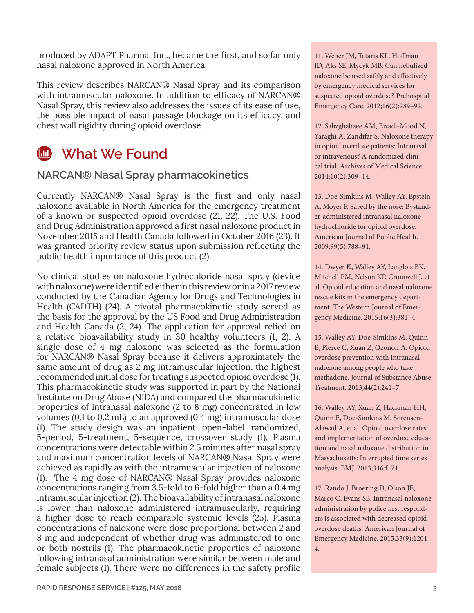produced by ADAPT Pharma, Inc., became the first, and so far only nasal naloxone approved in North America.

This review describes NARCAN® Nasal Spray and its comparison with intramuscular naloxone. In addition to efficacy of NARCAN® Nasal Spray, this review also addresses the issues of its ease of use, the possible impact of nasal passage blockage on its efficacy, and chest wall rigidity during opioid overdose.

## **What We Found**

#### **NARCAN® Nasal Spray pharmacokinetics**

Currently NARCAN® Nasal Spray is the first and only nasal naloxone available in North America for the emergency treatment of a known or suspected opioid overdose (21, 22). The U.S. Food and Drug Administration approved a first nasal naloxone product in November 2015 and Health Canada followed in October 2016 (23). It was granted priority review status upon submission reflecting the public health importance of this product (2).

No clinical studies on naloxone hydrochloride nasal spray (device with naloxone) were identified either in this review or in a 2017 review conducted by the Canadian Agency for Drugs and Technologies in Health (CADTH) (24). A pivotal pharmacokinetic study served as the basis for the approval by the US Food and Drug Administration and Health Canada (2, 24). The application for approval relied on a relative bioavailability study in 30 healthy volunteers (1, 2). A single dose of 4 mg naloxone was selected as the formulation for NARCAN® Nasal Spray because it delivers approximately the same amount of drug as 2 mg intramuscular injection, the highest recommended initial dose for treating suspected opioid overdose (1). This pharmacokinetic study was supported in part by the National Institute on Drug Abuse (NIDA) and compared the pharmacokinetic properties of intranasal naloxone (2 to 8 mg) concentrated in low volumes (0.1 to 0.2 mL) to an approved (0.4 mg) intramuscular dose (1). The study design was an inpatient, open-label, randomized, 5-period, 5-treatment, 5-sequence, crossover study (1). Plasma concentrations were detectable within 2.5 minutes after nasal spray and maximum concentration levels of NARCAN® Nasal Spray were achieved as rapidly as with the intramuscular injection of naloxone (1). The 4 mg dose of NARCAN® Nasal Spray provides naloxone concentrations ranging from 3.5-fold to 6-fold higher than a 0.4 mg intramuscular injection (2). The bioavailability of intranasal naloxone is lower than naloxone administered intramuscularly, requiring a higher dose to reach comparable systemic levels (25). Plasma concentrations of naloxone were dose proportional between 2 and 8 mg and independent of whether drug was administered to one or both nostrils (1). The pharmacokinetic properties of naloxone following intranasal administration were similar between male and female subjects (1). There were no differences in the safety profile

11. Weber JM, Tataris KL, Hoffman JD, Aks SE, Mycyk MB. Can nebulized naloxone be used safely and effectively by emergency medical services for suspected opioid overdose? Prehospital Emergency Care. 2012;16(2):289–92.

12. Sabzghabaee AM, Eizadi-Mood N, Yaraghi A, Zandifar S. Naloxone therapy in opioid overdose patients: Intranasal or intravenous? A randomized clinical trial. Archives of Medical Science. 2014;10(2):309–14.

13. Doe-Simkins M, Walley AY, Epstein A, Moyer P. Saved by the nose: Bystander-administered intranasal naloxone hydrochloride for opioid overdose. American Journal of Public Health. 2009;99(5):788–91.

14. Dwyer K, Walley AY, Langlois BK, Mitchell PM, Nelson KP, Cromwell J, et al. Opioid education and nasal naloxone rescue kits in the emergency department. The Western Journal of Emergency Medicine. 2015;16(3):381–4.

15. Walley AY, Doe-Simkins M, Quinn E, Pierce C, Xuan Z, Ozonoff A. Opioid overdose prevention with intranasal naloxone among people who take methadone. Journal of Substance Abuse Treatment. 2013;44(2):241–7.

16. Walley AY, Xuan Z, Hackman HH, Quinn E, Doe-Simkins M, Sorensen-Alawad A, et al. Opioid overdose rates and implementation of overdose education and nasal naloxone distribution in Massachusetts: Interrupted time series analysis. BMJ. 2013;346:f174.

17. Rando J, Broering D, Olson JE, Marco C, Evans SB. Intranasal naloxone administration by police first responders is associated with decreased opioid overdose deaths. American Journal of Emergency Medicine. 2015;33(9):1201– 4.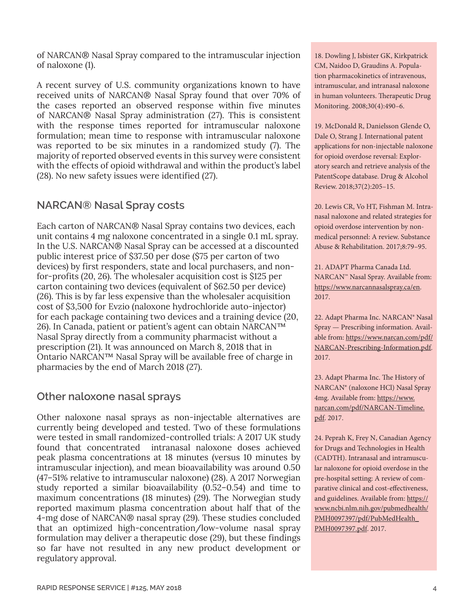of NARCAN® Nasal Spray compared to the intramuscular injection of naloxone (1).

A recent survey of U.S. community organizations known to have received units of NARCAN® Nasal Spray found that over 70% of the cases reported an observed response within five minutes of NARCAN® Nasal Spray administration (27). This is consistent with the response times reported for intramuscular naloxone formulation; mean time to response with intramuscular naloxone was reported to be six minutes in a randomized study (7). The majority of reported observed events in this survey were consistent with the effects of opioid withdrawal and within the product's label (28). No new safety issues were identified (27).

## **NARCAN® Nasal Spray costs**

Each carton of NARCAN® Nasal Spray contains two devices, each unit contains 4 mg naloxone concentrated in a single 0.1 mL spray. In the U.S. NARCAN® Nasal Spray can be accessed at a discounted public interest price of \$37.50 per dose (\$75 per carton of two devices) by first responders, state and local purchasers, and nonfor-profits (20, 26). The wholesaler acquisition cost is \$125 per carton containing two devices (equivalent of \$62.50 per device) (26). This is by far less expensive than the wholesaler acquisition cost of \$3,500 for Evzio (naloxone hydrochloride auto-injector) for each package containing two devices and a training device (20, 26). In Canada, patient or patient's agent can obtain NARCAN™ Nasal Spray directly from a community pharmacist without a prescription (21). It was announced on March 8, 2018 that in Ontario NARCAN™ Nasal Spray will be available free of charge in pharmacies by the end of March 2018 (27).

### **Other naloxone nasal sprays**

Other naloxone nasal sprays as non-injectable alternatives are currently being developed and tested. Two of these formulations were tested in small randomized-controlled trials: A 2017 UK study found that concentrated intranasal naloxone doses achieved peak plasma concentrations at 18 minutes (versus 10 minutes by intramuscular injection), and mean bioavailability was around 0.50 (47–51% relative to intramuscular naloxone) (28). A 2017 Norwegian study reported a similar bioavailability (0.52–0.54) and time to maximum concentrations (18 minutes) (29). The Norwegian study reported maximum plasma concentration about half that of the 4-mg dose of NARCAN® nasal spray (29). These studies concluded that an optimized high-concentration/low-volume nasal spray formulation may deliver a therapeutic dose (29), but these findings so far have not resulted in any new product development or regulatory approval.

18. Dowling J, Isbister GK, Kirkpatrick CM, Naidoo D, Graudins A. Population pharmacokinetics of intravenous, intramuscular, and intranasal naloxone in human volunteers. Therapeutic Drug Monitoring. 2008;30(4):490–6.

19. McDonald R, Danielsson Glende O, Dale O, Strang J. International patent applications for non-injectable naloxone for opioid overdose reversal: Exploratory search and retrieve analysis of the PatentScope database. Drug & Alcohol Review. 2018;37(2):205–15.

20. Lewis CR, Vo HT, Fishman M. Intranasal naloxone and related strategies for opioid overdose intervention by nonmedical personnel: A review. Substance Abuse & Rehabilitation. 2017;8:79–95.

21. ADAPT Pharma Canada Ltd. NARCAN™ Nasal Spray. Available from: [https://www.narcannasalspray.ca/en.](https://www.narcannasalspray.ca/en) 2017.

22. Adapt Pharma Inc. NARCAN® Nasal Spray — Prescribing information. Available from: [https://www.narcan.com/pdf/](https://www.narcan.com/pdf/NARCAN-Prescribing-Information.pdf) [NARCAN-Prescribing-Information.pdf.](https://www.narcan.com/pdf/NARCAN-Prescribing-Information.pdf) 2017.

23. Adapt Pharma Inc. The History of NARCAN® (naloxone HCl) Nasal Spray 4mg. Available from: [https://www.](https://www.narcan.com/pdf/NARCAN-Timeline.pdf) [narcan.com/pdf/NARCAN-Timeline.](https://www.narcan.com/pdf/NARCAN-Timeline.pdf) [pdf](https://www.narcan.com/pdf/NARCAN-Timeline.pdf). 2017.

24. Peprah K, Frey N, Canadian Agency for Drugs and Technologies in Health (CADTH). Intranasal and intramuscular naloxone for opioid overdose in the pre-hospital setting: A review of comparative clinical and cost-effectiveness, and guidelines. Available from: [https://](https://www.ncbi.nlm.nih.gov/pubmedhealth/PMH0097397/pdf/PubMedHealth_PMH0097397.pdf) [www.ncbi.nlm.nih.gov/pubmedhealth/](https://www.ncbi.nlm.nih.gov/pubmedhealth/PMH0097397/pdf/PubMedHealth_PMH0097397.pdf) [PMH0097397/pdf/PubMedHealth\\_](https://www.ncbi.nlm.nih.gov/pubmedhealth/PMH0097397/pdf/PubMedHealth_PMH0097397.pdf) [PMH0097397.pdf](https://www.ncbi.nlm.nih.gov/pubmedhealth/PMH0097397/pdf/PubMedHealth_PMH0097397.pdf). 2017.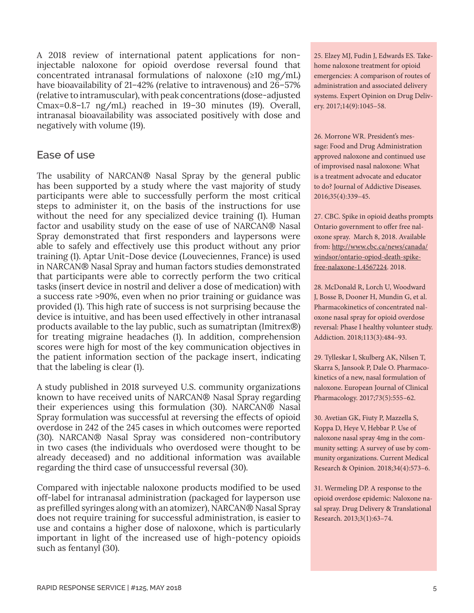A 2018 review of international patent applications for noninjectable naloxone for opioid overdose reversal found that concentrated intranasal formulations of naloxone (≥10 mg/mL) have bioavailability of 21-42% (relative to intravenous) and 26-57% (relative to intramuscular), with peak concentrations (dose-adjusted Cmax=0.8–1.7 ng/mL) reached in 19–30 minutes (19). Overall, intranasal bioavailability was associated positively with dose and negatively with volume (19).

#### **Ease of use**

The usability of NARCAN® Nasal Spray by the general public has been supported by a study where the vast majority of study participants were able to successfully perform the most critical steps to administer it, on the basis of the instructions for use without the need for any specialized device training (1). Human factor and usability study on the ease of use of NARCAN® Nasal Spray demonstrated that first responders and laypersons were able to safely and effectively use this product without any prior training (1). Aptar Unit-Dose device (Louveciennes, France) is used in NARCAN® Nasal Spray and human factors studies demonstrated that participants were able to correctly perform the two critical tasks (insert device in nostril and deliver a dose of medication) with a success rate >90%, even when no prior training or guidance was provided (1). This high rate of success is not surprising because the device is intuitive, and has been used effectively in other intranasal products available to the lay public, such as sumatriptan (Imitrex®) for treating migraine headaches (1). In addition, comprehension scores were high for most of the key communication objectives in the patient information section of the package insert, indicating that the labeling is clear (1).

A study published in 2018 surveyed U.S. community organizations known to have received units of NARCAN® Nasal Spray regarding their experiences using this formulation (30). NARCAN® Nasal Spray formulation was successful at reversing the effects of opioid overdose in 242 of the 245 cases in which outcomes were reported (30). NARCAN® Nasal Spray was considered non-contributory in two cases (the individuals who overdosed were thought to be already deceased) and no additional information was available regarding the third case of unsuccessful reversal (30).

Compared with injectable naloxone products modified to be used off-label for intranasal administration (packaged for layperson use as prefilled syringes along with an atomizer), NARCAN® Nasal Spray does not require training for successful administration, is easier to use and contains a higher dose of naloxone, which is particularly important in light of the increased use of high-potency opioids such as fentanyl (30).

25. Elzey MJ, Fudin J, Edwards ES. Takehome naloxone treatment for opioid emergencies: A comparison of routes of administration and associated delivery systems. Expert Opinion on Drug Delivery. 2017;14(9):1045–58.

26. Morrone WR. President's message: Food and Drug Administration approved naloxone and continued use of improvised nasal naloxone: What is a treatment advocate and educator to do? Journal of Addictive Diseases. 2016;35(4):339–45.

27. CBC. Spike in opioid deaths prompts Ontario government to offer free naloxone spray. March 8, 2018. Available from: [http://www.cbc.ca/news/canada/](http://www.cbc.ca/news/canada/windsor/ontario-opiod-death-spike-free-nalaxone-1.4567224) [windsor/ontario-opiod-death-spike](http://www.cbc.ca/news/canada/windsor/ontario-opiod-death-spike-free-nalaxone-1.4567224)[free-nalaxone-1.4567224.](http://www.cbc.ca/news/canada/windsor/ontario-opiod-death-spike-free-nalaxone-1.4567224) 2018.

28. McDonald R, Lorch U, Woodward J, Bosse B, Dooner H, Mundin G, et al. Pharmacokinetics of concentrated naloxone nasal spray for opioid overdose reversal: Phase I healthy volunteer study. Addiction. 2018;113(3):484–93.

29. Tylleskar I, Skulberg AK, Nilsen T, Skarra S, Jansook P, Dale O. Pharmacokinetics of a new, nasal formulation of naloxone. European Journal of Clinical Pharmacology. 2017;73(5):555–62.

30. Avetian GK, Fiuty P, Mazzella S, Koppa D, Heye V, Hebbar P. Use of naloxone nasal spray 4mg in the community setting: A survey of use by community organizations. Current Medical Research & Opinion. 2018;34(4):573–6.

31. Wermeling DP. A response to the opioid overdose epidemic: Naloxone nasal spray. Drug Delivery & Translational Research. 2013;3(1):63–74.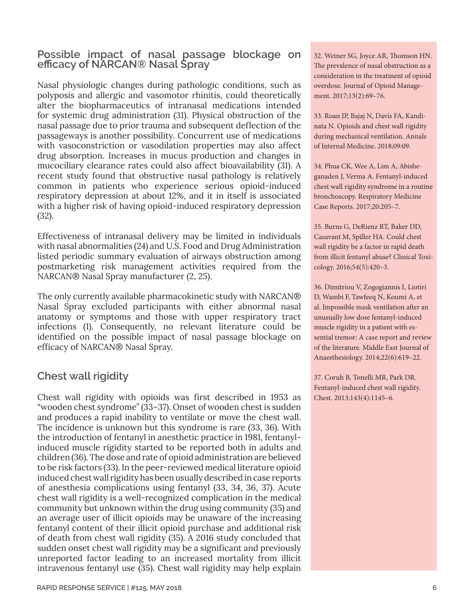#### **Possible impact of nasal passage blockage on efficacy of NARCAN® Nasal Spray**

Nasal physiologic changes during pathologic conditions, such as polyposis and allergic and vasomotor rhinitis, could theoretically alter the biopharmaceutics of intranasal medications intended for systemic drug administration (31). Physical obstruction of the nasal passage due to prior trauma and subsequent deflection of the passageways is another possibility. Concurrent use of medications with vasoconstriction or vasodilation properties may also affect drug absorption. Increases in mucus production and changes in mucociliary clearance rates could also affect bioavailability (31). A recent study found that obstructive nasal pathology is relatively common in patients who experience serious opioid-induced respiratory depression at about 12%, and it in itself is associated with a higher risk of having opioid-induced respiratory depression (32).

Effectiveness of intranasal delivery may be limited in individuals with nasal abnormalities (24) and U.S. Food and Drug Administration listed periodic summary evaluation of airways obstruction among postmarketing risk management activities required from the NARCAN® Nasal Spray manufacturer (2, 25).

The only currently available pharmacokinetic study with NARCAN® Nasal Spray excluded participants with either abnormal nasal anatomy or symptoms and those with upper respiratory tract infections (1). Consequently, no relevant literature could be identified on the possible impact of nasal passage blockage on efficacy of NARCAN® Nasal Spray.

### **Chest wall rigidity**

Chest wall rigidity with opioids was first described in 1953 as "wooden chest syndrome" (33–37). Onset of wooden chest is sudden and produces a rapid inability to ventilate or move the chest wall. The incidence is unknown but this syndrome is rare (33, 36). With the introduction of fentanyl in anesthetic practice in 1981, fentanylinduced muscle rigidity started to be reported both in adults and children (36). The dose and rate of opioid administration are believed to be risk factors (33). In the peer-reviewed medical literature opioid induced chest wall rigidity has been usually described in case reports of anesthesia complications using fentanyl (33, 34, 36, 37). Acute chest wall rigidity is a well-recognized complication in the medical community but unknown within the drug using community (35) and an average user of illicit opioids may be unaware of the increasing fentanyl content of their illicit opioid purchase and additional risk of death from chest wall rigidity (35). A 2016 study concluded that sudden onset chest wall rigidity may be a significant and previously unreported factor leading to an increased mortality from illicit intravenous fentanyl use (35). Chest wall rigidity may help explain 32. Weiner SG, Joyce AR, Thomson HN. The prevalence of nasal obstruction as a consideration in the treatment of opioid overdose. Journal of Opioid Management. 2017;13(2):69–76.

33. Roan JP, Bajaj N, Davis FA, Kandinata N. Opioids and chest wall rigidity during mechanical ventilation. Annals of Internal Medicine. 2018;09:09.

34. Phua CK, Wee A, Lim A, Abisheganaden J, Verma A. Fentanyl-induced chest wall rigidity syndrome in a routine bronchoscopy. Respiratory Medicine Case Reports. 2017;20:205–7.

35. Burns G, DeRienz RT, Baker DD, Casavant M, Spiller HA. Could chest wall rigidity be a factor in rapid death from illicit fentanyl abuse? Clinical Toxicology. 2016;54(5):420–3.

36. Dimitriou V, Zogogiannis I, Liotiri D, Wambi F, Tawfeeq N, Koumi A, et al. Impossible mask ventilation after an unusually low dose fentanyl-induced muscle rigidity in a patient with essential tremor: A case report and review of the literature. Middle East Journal of Anaesthesiology. 2014;22(6):619–22.

37. Coruh B, Tonelli MR, Park DR. Fentanyl-induced chest wall rigidity. Chest. 2013;143(4):1145–6.